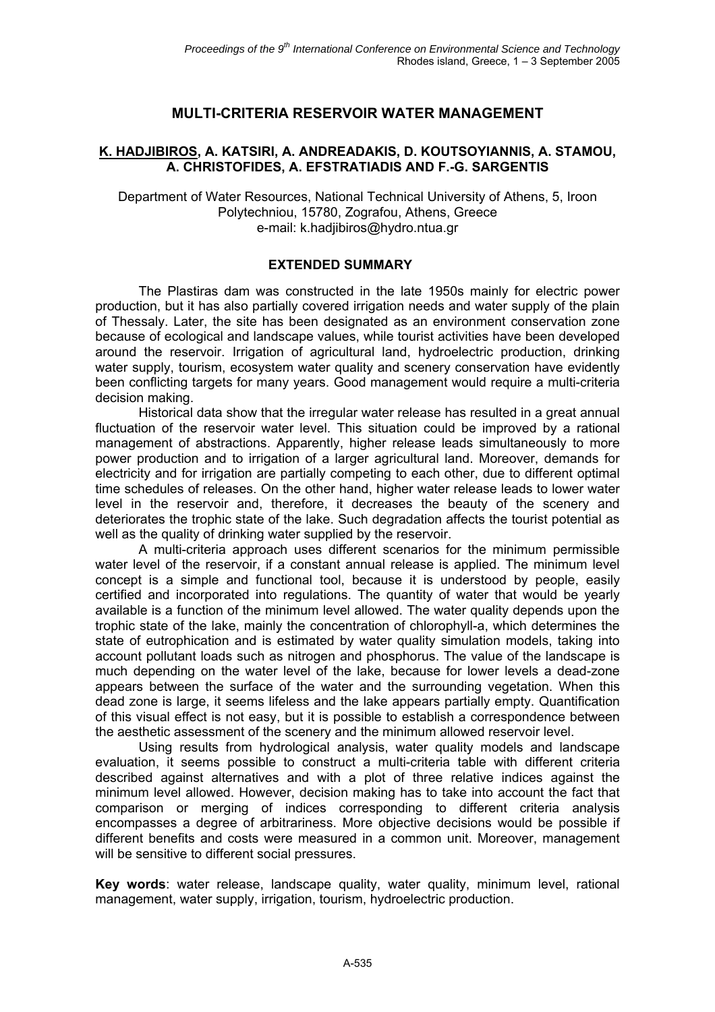# **MULTI-CRITERIA RESERVOIR WATER MANAGEMENT**

#### **K. HADJIBIROS, A. KATSIRI, A. ANDREADAKIS, D. KOUTSOYIANNIS, A. STAMOU, A. CHRISTOFIDES, A. EFSTRATIADIS AND F.-G. SARGENTIS**

Department of Water Resources, National Technical University of Athens, 5, Iroon Polytechniou, 15780, Zografou, Athens, Greece e-mail: k.hadjibiros@hydro.ntua.gr

#### **EXTENDED SUMMARY**

The Plastiras dam was constructed in the late 1950s mainly for electric power production, but it has also partially covered irrigation needs and water supply of the plain of Thessaly. Later, the site has been designated as an environment conservation zone because of ecological and landscape values, while tourist activities have been developed around the reservoir. Irrigation of agricultural land, hydroelectric production, drinking water supply, tourism, ecosystem water quality and scenery conservation have evidently been conflicting targets for many years. Good management would require a multi-criteria decision making.

Historical data show that the irregular water release has resulted in a great annual fluctuation of the reservoir water level. This situation could be improved by a rational management of abstractions. Apparently, higher release leads simultaneously to more power production and to irrigation of a larger agricultural land. Moreover, demands for electricity and for irrigation are partially competing to each other, due to different optimal time schedules of releases. On the other hand, higher water release leads to lower water level in the reservoir and, therefore, it decreases the beauty of the scenery and deteriorates the trophic state of the lake. Such degradation affects the tourist potential as well as the quality of drinking water supplied by the reservoir.

A multi-criteria approach uses different scenarios for the minimum permissible water level of the reservoir, if a constant annual release is applied. The minimum level concept is a simple and functional tool, because it is understood by people, easily certified and incorporated into regulations. The quantity of water that would be yearly available is a function of the minimum level allowed. The water quality depends upon the trophic state of the lake, mainly the concentration of chlorophyll-a, which determines the state of eutrophication and is estimated by water quality simulation models, taking into account pollutant loads such as nitrogen and phosphorus. The value of the landscape is much depending on the water level of the lake, because for lower levels a dead-zone appears between the surface of the water and the surrounding vegetation. When this dead zone is large, it seems lifeless and the lake appears partially empty. Quantification of this visual effect is not easy, but it is possible to establish a correspondence between the aesthetic assessment of the scenery and the minimum allowed reservoir level.

Using results from hydrological analysis, water quality models and landscape evaluation, it seems possible to construct a multi-criteria table with different criteria described against alternatives and with a plot of three relative indices against the minimum level allowed. However, decision making has to take into account the fact that comparison or merging of indices corresponding to different criteria analysis encompasses a degree of arbitrariness. More objective decisions would be possible if different benefits and costs were measured in a common unit. Moreover, management will be sensitive to different social pressures.

**Key words**: water release, landscape quality, water quality, minimum level, rational management, water supply, irrigation, tourism, hydroelectric production.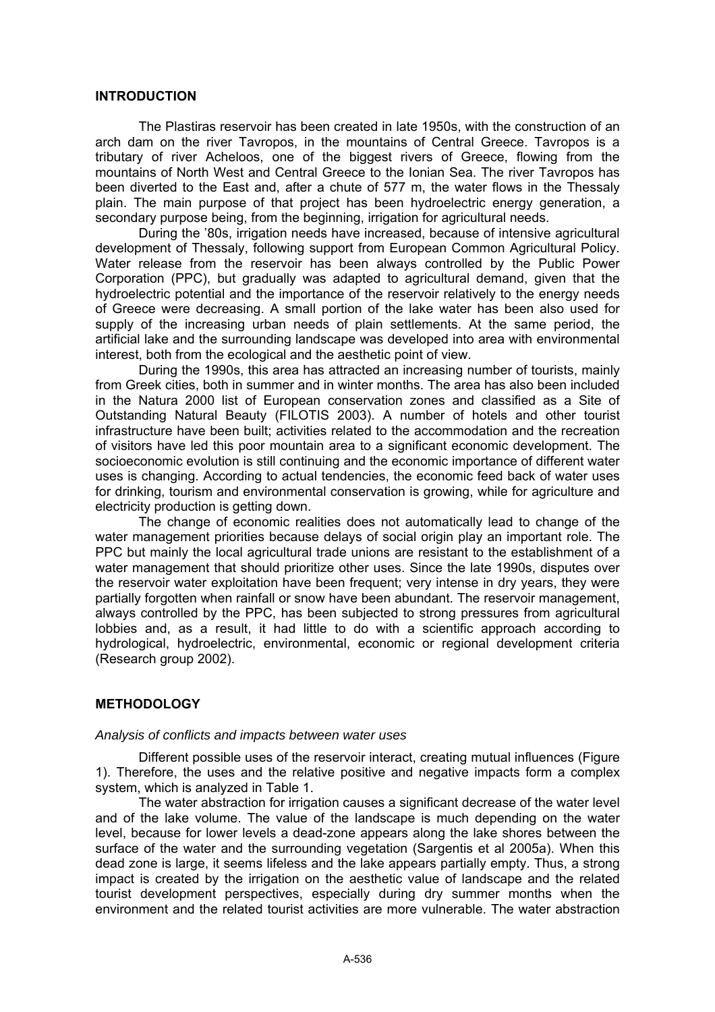#### **INTRODUCTION**

The Plastiras reservoir has been created in late 1950s, with the construction of an arch dam on the river Tavropos, in the mountains of Central Greece. Tavropos is a tributary of river Acheloos, one of the biggest rivers of Greece, flowing from the mountains of North West and Central Greece to the Ionian Sea. The river Tavropos has been diverted to the East and, after a chute of 577 m, the water flows in the Thessaly plain. The main purpose of that project has been hydroelectric energy generation, a secondary purpose being, from the beginning, irrigation for agricultural needs.

During the '80s, irrigation needs have increased, because of intensive agricultural development of Thessaly, following support from European Common Agricultural Policy. Water release from the reservoir has been always controlled by the Public Power Corporation (PPC), but gradually was adapted to agricultural demand, given that the hydroelectric potential and the importance of the reservoir relatively to the energy needs of Greece were decreasing. A small portion of the lake water has been also used for supply of the increasing urban needs of plain settlements. At the same period, the artificial lake and the surrounding landscape was developed into area with environmental interest, both from the ecological and the aesthetic point of view.

During the 1990s, this area has attracted an increasing number of tourists, mainly from Greek cities, both in summer and in winter months. The area has also been included in the Natura 2000 list of European conservation zones and classified as a Site of Outstanding Natural Beauty (FILOTIS 2003). A number of hotels and other tourist infrastructure have been built; activities related to the accommodation and the recreation of visitors have led this poor mountain area to a significant economic development. The socioeconomic evolution is still continuing and the economic importance of different water uses is changing. According to actual tendencies, the economic feed back of water uses for drinking, tourism and environmental conservation is growing, while for agriculture and electricity production is getting down.

The change of economic realities does not automatically lead to change of the water management priorities because delays of social origin play an important role. The PPC but mainly the local agricultural trade unions are resistant to the establishment of a water management that should prioritize other uses. Since the late 1990s, disputes over the reservoir water exploitation have been frequent; very intense in dry years, they were partially forgotten when rainfall or snow have been abundant. The reservoir management, always controlled by the PPC, has been subjected to strong pressures from agricultural lobbies and, as a result, it had little to do with a scientific approach according to hydrological, hydroelectric, environmental, economic or regional development criteria (Research group 2002).

### **METHODOLOGY**

#### *Analysis of conflicts and impacts between water uses*

Different possible uses of the reservoir interact, creating mutual influences (Figure 1). Therefore, the uses and the relative positive and negative impacts form a complex system, which is analyzed in Table 1.

The water abstraction for irrigation causes a significant decrease of the water level and of the lake volume. The value of the landscape is much depending on the water level, because for lower levels a dead-zone appears along the lake shores between the surface of the water and the surrounding vegetation (Sargentis et al 2005a). When this dead zone is large, it seems lifeless and the lake appears partially empty. Thus, a strong impact is created by the irrigation on the aesthetic value of landscape and the related tourist development perspectives, especially during dry summer months when the environment and the related tourist activities are more vulnerable. The water abstraction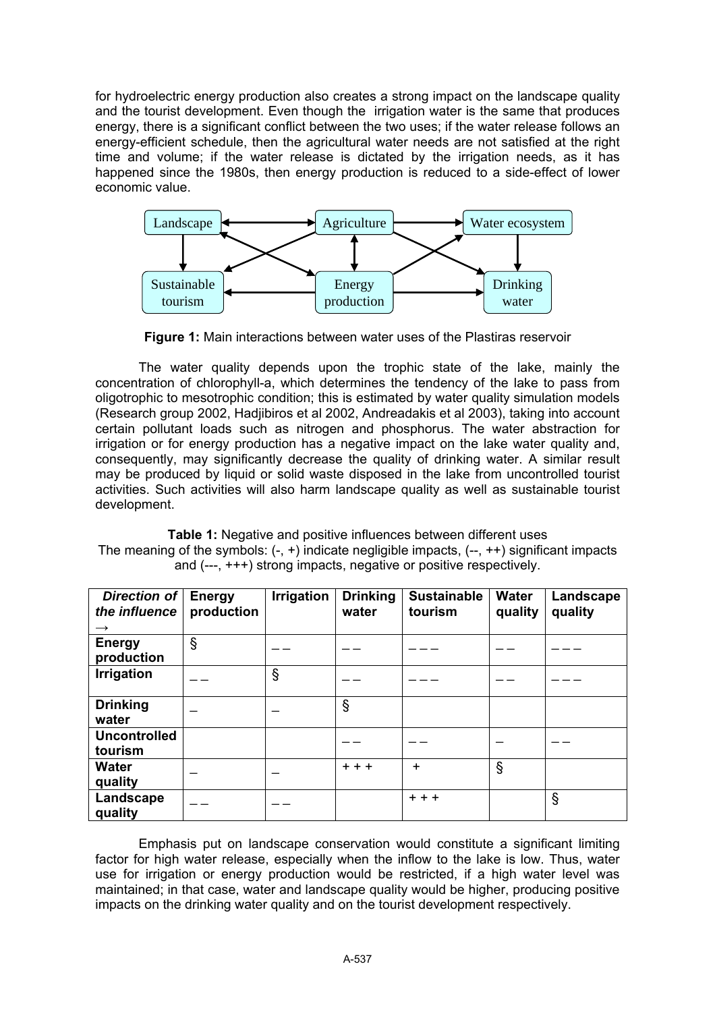for hydroelectric energy production also creates a strong impact on the landscape quality and the tourist development. Even though the irrigation water is the same that produces energy, there is a significant conflict between the two uses; if the water release follows an energy-efficient schedule, then the agricultural water needs are not satisfied at the right time and volume; if the water release is dictated by the irrigation needs, as it has happened since the 1980s, then energy production is reduced to a side-effect of lower economic value.



**Figure 1:** Main interactions between water uses of the Plastiras reservoir

The water quality depends upon the trophic state of the lake, mainly the concentration of chlorophyll-a, which determines the tendency of the lake to pass from oligotrophic to mesotrophic condition; this is estimated by water quality simulation models (Research group 2002, Hadjibiros et al 2002, Andreadakis et al 2003), taking into account certain pollutant loads such as nitrogen and phosphorus. The water abstraction for irrigation or for energy production has a negative impact on the lake water quality and, consequently, may significantly decrease the quality of drinking water. A similar result may be produced by liquid or solid waste disposed in the lake from uncontrolled tourist activities. Such activities will also harm landscape quality as well as sustainable tourist development.

**Table 1:** Negative and positive influences between different uses The meaning of the symbols:  $(-, +)$  indicate negligible impacts,  $(-, +)$  significant impacts and (---, +++) strong impacts, negative or positive respectively.

| Direction of<br>the influence<br>$\rightarrow$ | <b>Energy</b><br>production | <b>Irrigation</b> | <b>Drinking</b><br>water | <b>Sustainable</b><br>tourism | <b>Water</b><br>quality | Landscape<br>quality |
|------------------------------------------------|-----------------------------|-------------------|--------------------------|-------------------------------|-------------------------|----------------------|
| <b>Energy</b><br>production                    | $\S$                        |                   |                          |                               |                         |                      |
| <b>Irrigation</b>                              |                             | $\S$              |                          |                               |                         |                      |
| <b>Drinking</b><br>water                       |                             |                   | $\S$                     |                               |                         |                      |
| <b>Uncontrolled</b><br>tourism                 |                             |                   |                          |                               |                         |                      |
| <b>Water</b><br>quality                        |                             |                   | $+ + +$                  | $\ddot{}$                     | $\S$                    |                      |
| Landscape<br>quality                           |                             |                   |                          | $+ + +$                       |                         | ş                    |

Emphasis put on landscape conservation would constitute a significant limiting factor for high water release, especially when the inflow to the lake is low. Thus, water use for irrigation or energy production would be restricted, if a high water level was maintained; in that case, water and landscape quality would be higher, producing positive impacts on the drinking water quality and on the tourist development respectively.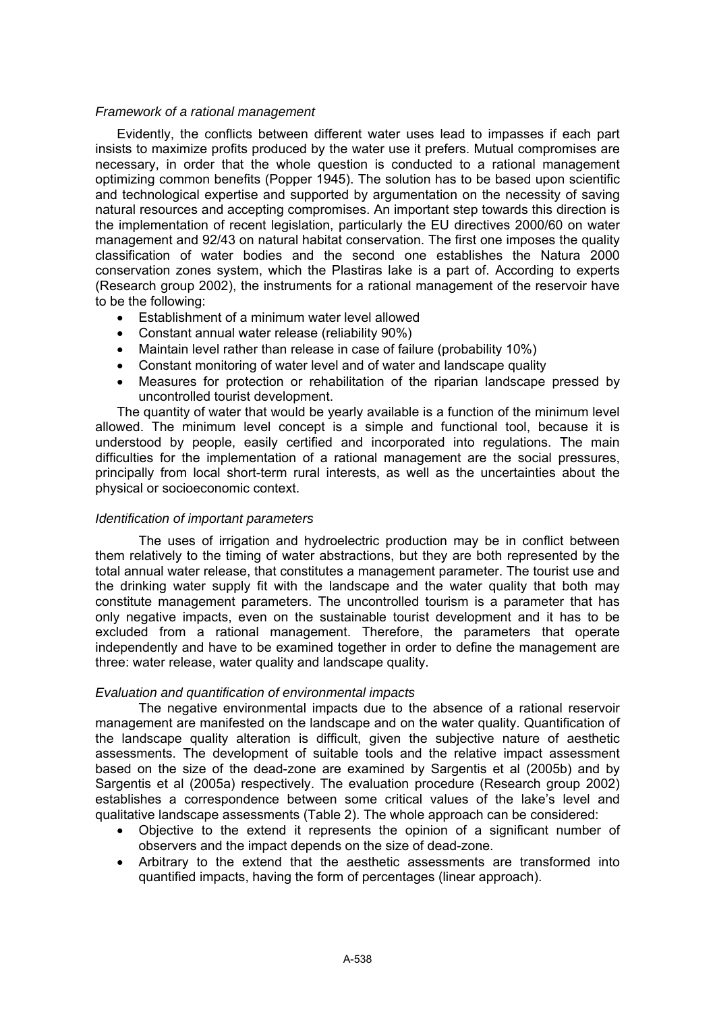#### *Framework of a rational management*

Evidently, the conflicts between different water uses lead to impasses if each part insists to maximize profits produced by the water use it prefers. Mutual compromises are necessary, in order that the whole question is conducted to a rational management optimizing common benefits (Popper 1945). The solution has to be based upon scientific and technological expertise and supported by argumentation on the necessity of saving natural resources and accepting compromises. An important step towards this direction is the implementation of recent legislation, particularly the EU directives 2000/60 on water management and 92/43 on natural habitat conservation. The first one imposes the quality classification of water bodies and the second one establishes the Natura 2000 conservation zones system, which the Plastiras lake is a part of. According to experts (Research group 2002), the instruments for a rational management of the reservoir have to be the following:

- Establishment of a minimum water level allowed
- Constant annual water release (reliability 90%)
- Maintain level rather than release in case of failure (probability 10%)
- Constant monitoring of water level and of water and landscape quality
- Measures for protection or rehabilitation of the riparian landscape pressed by uncontrolled tourist development.

The quantity of water that would be yearly available is a function of the minimum level allowed. The minimum level concept is a simple and functional tool, because it is understood by people, easily certified and incorporated into regulations. The main difficulties for the implementation of a rational management are the social pressures, principally from local short-term rural interests, as well as the uncertainties about the physical or socioeconomic context.

### *Identification of important parameters*

The uses of irrigation and hydroelectric production may be in conflict between them relatively to the timing of water abstractions, but they are both represented by the total annual water release, that constitutes a management parameter. The tourist use and the drinking water supply fit with the landscape and the water quality that both may constitute management parameters. The uncontrolled tourism is a parameter that has only negative impacts, even on the sustainable tourist development and it has to be excluded from a rational management. Therefore, the parameters that operate independently and have to be examined together in order to define the management are three: water release, water quality and landscape quality.

### *Evaluation and quantification of environmental impacts*

The negative environmental impacts due to the absence of a rational reservoir management are manifested on the landscape and on the water quality. Quantification of the landscape quality alteration is difficult, given the subjective nature of aesthetic assessments. The development of suitable tools and the relative impact assessment based on the size of the dead-zone are examined by Sargentis et al (2005b) and by Sargentis et al (2005a) respectively. The evaluation procedure (Research group 2002) establishes a correspondence between some critical values of the lake's level and qualitative landscape assessments (Table 2). The whole approach can be considered:

- Objective to the extend it represents the opinion of a significant number of observers and the impact depends on the size of dead-zone.
- Arbitrary to the extend that the aesthetic assessments are transformed into quantified impacts, having the form of percentages (linear approach).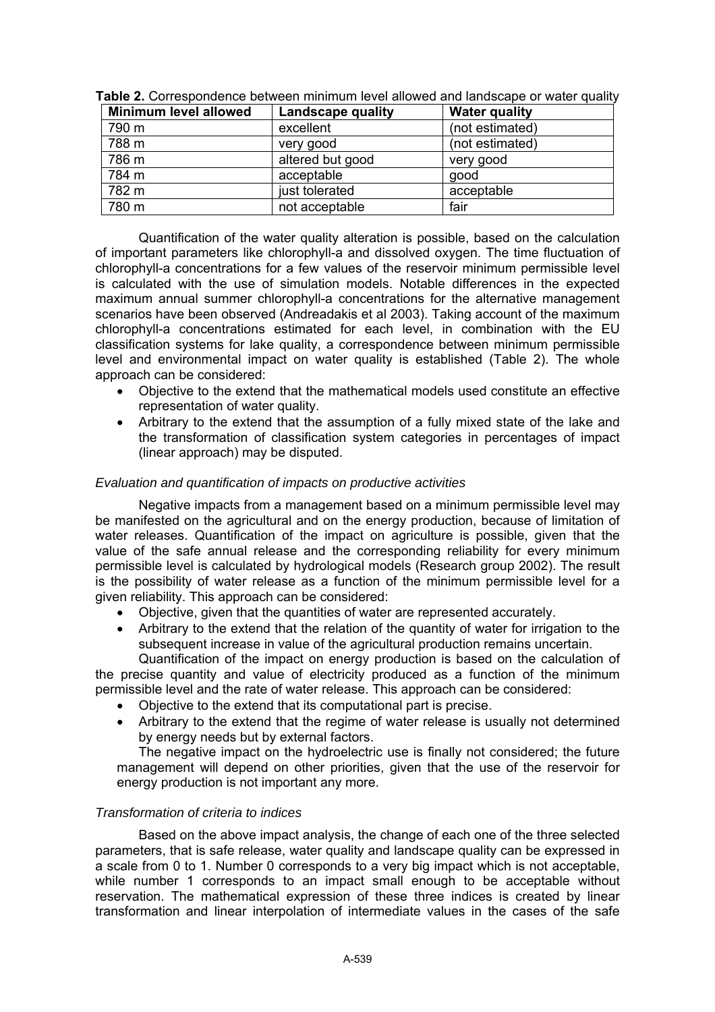| Minimum level allowed | Landscape quality | <b>Water quality</b> |
|-----------------------|-------------------|----------------------|
| 790 m                 | excellent         | (not estimated)      |
| 788 m                 | very good         | (not estimated)      |
| 786 m                 | altered but good  | very good            |
| 784 m                 | acceptable        | qood                 |
| 782 m                 | just tolerated    | acceptable           |
| 780 m                 | not acceptable    | fair                 |

**Table 2.** Correspondence between minimum level allowed and landscape or water quality

Quantification of the water quality alteration is possible, based on the calculation of important parameters like chlorophyll-a and dissolved oxygen. The time fluctuation of chlorophyll-a concentrations for a few values of the reservoir minimum permissible level is calculated with the use of simulation models. Notable differences in the expected maximum annual summer chlorophyll-a concentrations for the alternative management scenarios have been observed (Andreadakis et al 2003). Taking account of the maximum chlorophyll-a concentrations estimated for each level, in combination with the EU classification systems for lake quality, a correspondence between minimum permissible level and environmental impact on water quality is established (Table 2). The whole approach can be considered:

- Objective to the extend that the mathematical models used constitute an effective representation of water quality.
- Arbitrary to the extend that the assumption of a fully mixed state of the lake and the transformation of classification system categories in percentages of impact (linear approach) may be disputed.

### *Evaluation and quantification of impacts on productive activities*

Negative impacts from a management based on a minimum permissible level may be manifested on the agricultural and on the energy production, because of limitation of water releases. Quantification of the impact on agriculture is possible, given that the value of the safe annual release and the corresponding reliability for every minimum permissible level is calculated by hydrological models (Research group 2002). The result is the possibility of water release as a function of the minimum permissible level for a given reliability. This approach can be considered:

- Objective, given that the quantities of water are represented accurately.
- Arbitrary to the extend that the relation of the quantity of water for irrigation to the subsequent increase in value of the agricultural production remains uncertain.

Quantification of the impact on energy production is based on the calculation of the precise quantity and value of electricity produced as a function of the minimum permissible level and the rate of water release. This approach can be considered:

- Objective to the extend that its computational part is precise.
- Arbitrary to the extend that the regime of water release is usually not determined by energy needs but by external factors.

The negative impact on the hydroelectric use is finally not considered; the future management will depend on other priorities, given that the use of the reservoir for energy production is not important any more.

### *Transformation of criteria to indices*

Based on the above impact analysis, the change of each one of the three selected parameters, that is safe release, water quality and landscape quality can be expressed in a scale from 0 to 1. Number 0 corresponds to a very big impact which is not acceptable, while number 1 corresponds to an impact small enough to be acceptable without reservation. The mathematical expression of these three indices is created by linear transformation and linear interpolation of intermediate values in the cases of the safe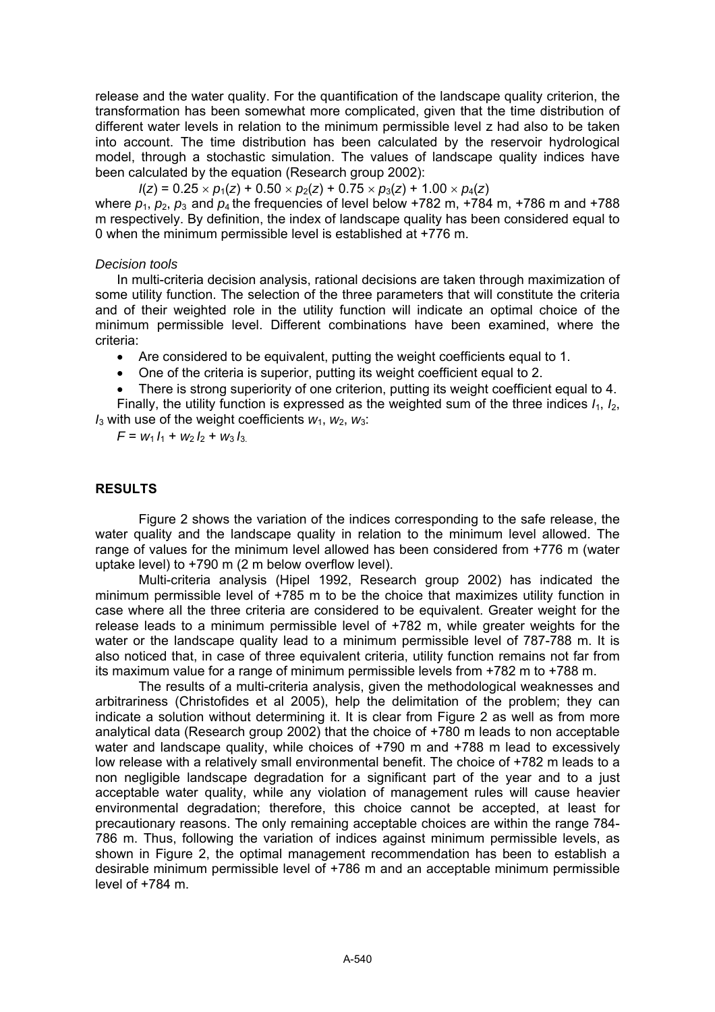release and the water quality. For the quantification of the landscape quality criterion, the transformation has been somewhat more complicated, given that the time distribution of different water levels in relation to the minimum permissible level z had also to be taken into account. The time distribution has been calculated by the reservoir hydrological model, through a stochastic simulation. The values of landscape quality indices have been calculated by the equation (Research group 2002):

 $I(z) = 0.25 \times p_1(z) + 0.50 \times p_2(z) + 0.75 \times p_3(z) + 1.00 \times p_4(z)$ 

where  $p_1$ ,  $p_2$ ,  $p_3$  and  $p_4$  the frequencies of level below +782 m, +784 m, +786 m and +788 m respectively. By definition, the index of landscape quality has been considered equal to 0 when the minimum permissible level is established at +776 m.

#### *Decision tools*

In multi-criteria decision analysis, rational decisions are taken through maximization of some utility function. The selection of the three parameters that will constitute the criteria and of their weighted role in the utility function will indicate an optimal choice of the minimum permissible level. Different combinations have been examined, where the criteria:

• Are considered to be equivalent, putting the weight coefficients equal to 1.

- One of the criteria is superior, putting its weight coefficient equal to 2.
- There is strong superiority of one criterion, putting its weight coefficient equal to 4.

Finally, the utility function is expressed as the weighted sum of the three indices *I*1, *I*2,  $I_3$  with use of the weight coefficients  $W_1$ ,  $W_2$ ,  $W_3$ :

 $F = w_1 l_1 + w_2 l_2 + w_3 l_3$ 

## **RESULTS**

Figure 2 shows the variation of the indices corresponding to the safe release, the water quality and the landscape quality in relation to the minimum level allowed. The range of values for the minimum level allowed has been considered from +776 m (water uptake level) to +790 m (2 m below overflow level).

Multi-criteria analysis (Hipel 1992, Research group 2002) has indicated the minimum permissible level of +785 m to be the choice that maximizes utility function in case where all the three criteria are considered to be equivalent. Greater weight for the release leads to a minimum permissible level of +782 m, while greater weights for the water or the landscape quality lead to a minimum permissible level of 787-788 m. It is also noticed that, in case of three equivalent criteria, utility function remains not far from its maximum value for a range of minimum permissible levels from +782 m to +788 m.

The results of a multi-criteria analysis, given the methodological weaknesses and arbitrariness (Christofides et al 2005), help the delimitation of the problem; they can indicate a solution without determining it. It is clear from Figure 2 as well as from more analytical data (Research group 2002) that the choice of +780 m leads to non acceptable water and landscape quality, while choices of +790 m and +788 m lead to excessively low release with a relatively small environmental benefit. The choice of +782 m leads to a non negligible landscape degradation for a significant part of the year and to a just acceptable water quality, while any violation of management rules will cause heavier environmental degradation; therefore, this choice cannot be accepted, at least for precautionary reasons. The only remaining acceptable choices are within the range 784- 786 m. Thus, following the variation of indices against minimum permissible levels, as shown in Figure 2, the optimal management recommendation has been to establish a desirable minimum permissible level of +786 m and an acceptable minimum permissible level of +784 m.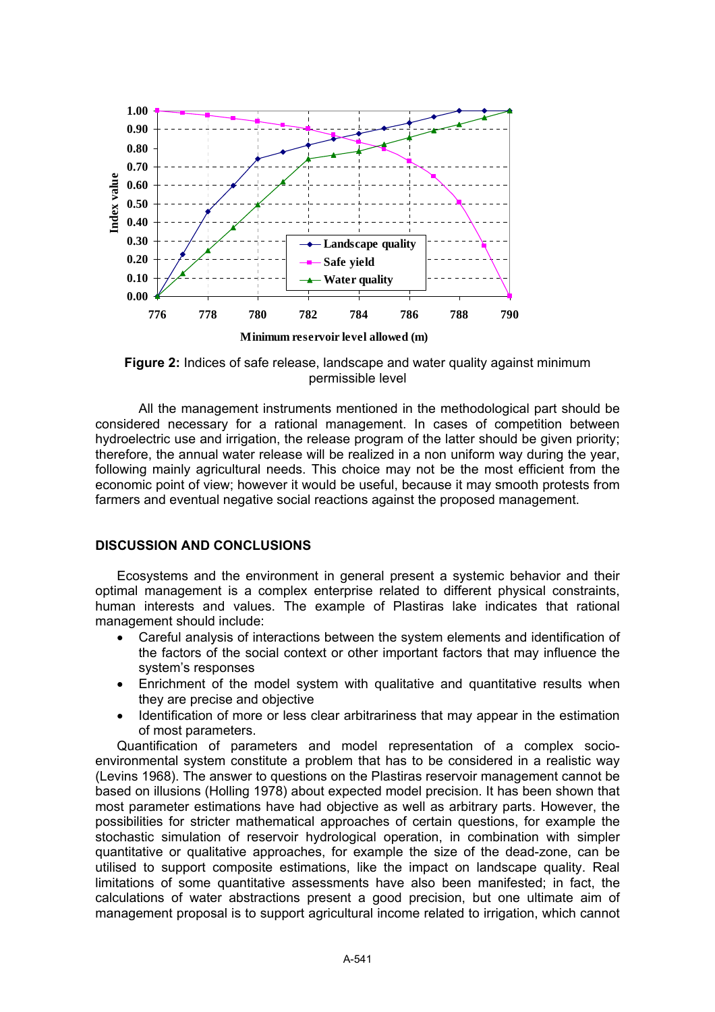

**Figure 2:** Indices of safe release, landscape and water quality against minimum permissible level

All the management instruments mentioned in the methodological part should be considered necessary for a rational management. In cases of competition between hydroelectric use and irrigation, the release program of the latter should be given priority; therefore, the annual water release will be realized in a non uniform way during the year, following mainly agricultural needs. This choice may not be the most efficient from the economic point of view; however it would be useful, because it may smooth protests from farmers and eventual negative social reactions against the proposed management.

### **DISCUSSION AND CONCLUSIONS**

Ecosystems and the environment in general present a systemic behavior and their optimal management is a complex enterprise related to different physical constraints, human interests and values. The example of Plastiras lake indicates that rational management should include:

- Careful analysis of interactions between the system elements and identification of the factors of the social context or other important factors that may influence the system's responses
- Enrichment of the model system with qualitative and quantitative results when they are precise and objective
- Identification of more or less clear arbitrariness that may appear in the estimation of most parameters.

Quantification of parameters and model representation of a complex socioenvironmental system constitute a problem that has to be considered in a realistic way (Levins 1968). The answer to questions on the Plastiras reservoir management cannot be based on illusions (Holling 1978) about expected model precision. It has been shown that most parameter estimations have had objective as well as arbitrary parts. However, the possibilities for stricter mathematical approaches of certain questions, for example the stochastic simulation of reservoir hydrological operation, in combination with simpler quantitative or qualitative approaches, for example the size of the dead-zone, can be utilised to support composite estimations, like the impact on landscape quality. Real limitations of some quantitative assessments have also been manifested; in fact, the calculations of water abstractions present a good precision, but one ultimate aim of management proposal is to support agricultural income related to irrigation, which cannot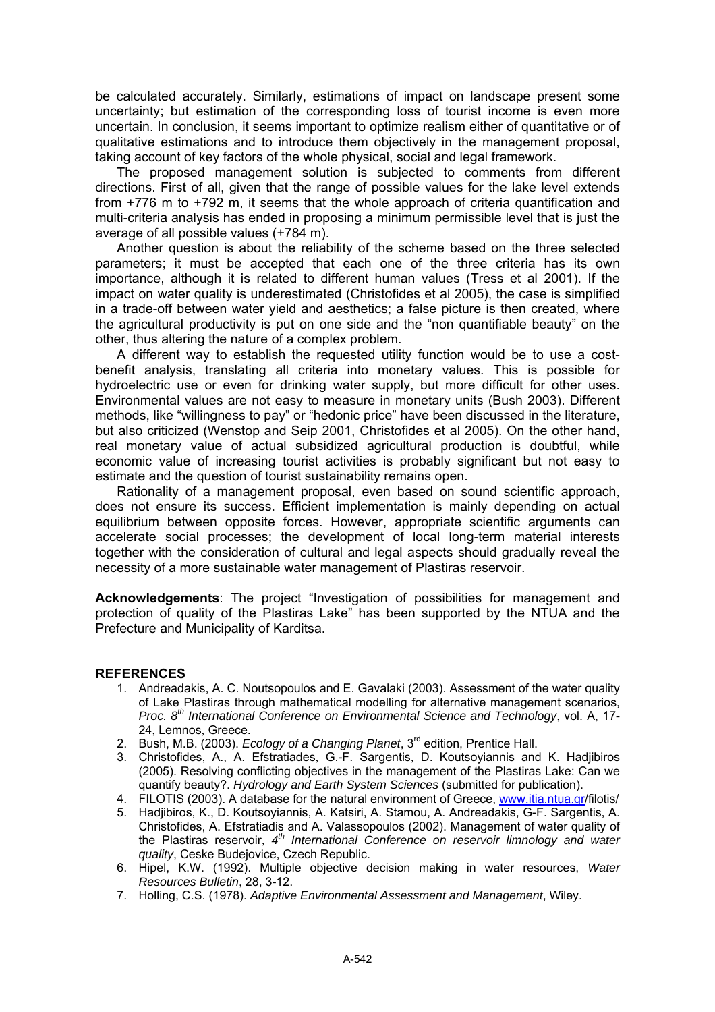be calculated accurately. Similarly, estimations of impact on landscape present some uncertainty; but estimation of the corresponding loss of tourist income is even more uncertain. In conclusion, it seems important to optimize realism either of quantitative or of qualitative estimations and to introduce them objectively in the management proposal, taking account of key factors of the whole physical, social and legal framework.

The proposed management solution is subjected to comments from different directions. First of all, given that the range of possible values for the lake level extends from +776 m to +792 m, it seems that the whole approach of criteria quantification and multi-criteria analysis has ended in proposing a minimum permissible level that is just the average of all possible values (+784 m).

Another question is about the reliability of the scheme based on the three selected parameters; it must be accepted that each one of the three criteria has its own importance, although it is related to different human values (Tress et al 2001). If the impact on water quality is underestimated (Christofides et al 2005), the case is simplified in a trade-off between water yield and aesthetics; a false picture is then created, where the agricultural productivity is put on one side and the "non quantifiable beauty" on the other, thus altering the nature of a complex problem.

A different way to establish the requested utility function would be to use a costbenefit analysis, translating all criteria into monetary values. This is possible for hydroelectric use or even for drinking water supply, but more difficult for other uses. Environmental values are not easy to measure in monetary units (Bush 2003). Different methods, like "willingness to pay" or "hedonic price" have been discussed in the literature, but also criticized (Wenstop and Seip 2001, Christofides et al 2005). On the other hand, real monetary value of actual subsidized agricultural production is doubtful, while economic value of increasing tourist activities is probably significant but not easy to estimate and the question of tourist sustainability remains open.

Rationality of a management proposal, even based on sound scientific approach, does not ensure its success. Efficient implementation is mainly depending on actual equilibrium between opposite forces. However, appropriate scientific arguments can accelerate social processes; the development of local long-term material interests together with the consideration of cultural and legal aspects should gradually reveal the necessity of a more sustainable water management of Plastiras reservoir.

**Acknowledgements**: The project "Investigation of possibilities for management and protection of quality of the Plastiras Lake" has been supported by the NTUA and the Prefecture and Municipality of Karditsa.

#### **REFERENCES**

- 1. Andreadakis, A. C. Noutsopoulos and E. Gavalaki (2003). Assessment of the water quality of Lake Plastiras through mathematical modelling for alternative management scenarios, *Proc. 8th International Conference on Environmental Science and Technology*, vol. A, 17- 24, Lemnos, Greece.
- 2. Bush, M.B. (2003). *Ecology of a Changing Planet*, 3rd edition, Prentice Hall.
- 3. Christofides, A., A. Efstratiades, G.-F. Sargentis, D. Koutsoyiannis and K. Hadjibiros (2005). Resolving conflicting objectives in the management of the Plastiras Lake: Can we quantify beauty?. *Hydrology and Earth System Sciences* (submitted for publication).
- 4. FILOTIS (2003). A database for the natural environment of Greece, www.itia.ntua.gr/filotis/
- 5. Hadjibiros, K., D. Koutsoyiannis, A. Katsiri, A. Stamou, A. Andreadakis, G-F. Sargentis, A. Christofides, A. Efstratiadis and A. Valassopoulos (2002). Management of water quality of the Plastiras reservoir, *4th International Conference on reservoir limnology and water quality*, Ceske Budejovice, Czech Republic.
- 6. Hipel, K.W. (1992). Multiple objective decision making in water resources, *Water Resources Bulletin*, 28, 3-12.
- 7. Holling, C.S. (1978). *Adaptive Environmental Assessment and Management*, Wiley.